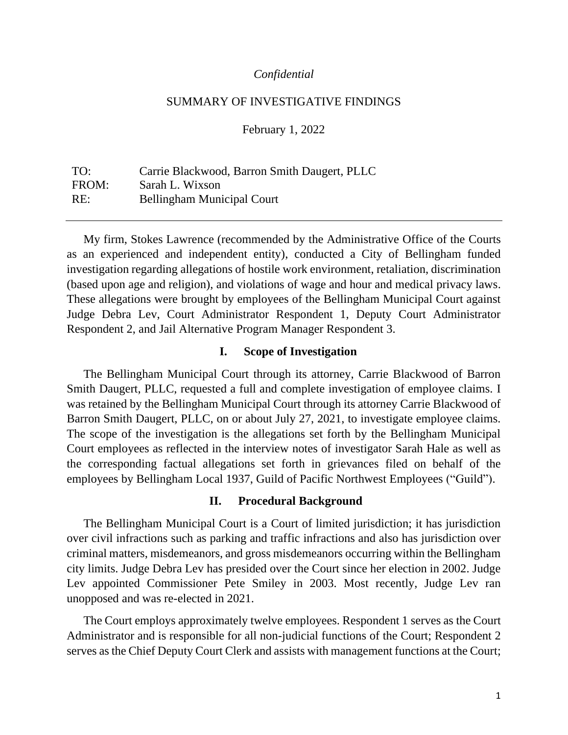### *Confidential*

### SUMMARY OF INVESTIGATIVE FINDINGS

February 1, 2022

TO: Carrie Blackwood, Barron Smith Daugert, PLLC FROM: Sarah L. Wixson RE: Bellingham Municipal Court

My firm, Stokes Lawrence (recommended by the Administrative Office of the Courts as an experienced and independent entity), conducted a City of Bellingham funded investigation regarding allegations of hostile work environment, retaliation, discrimination (based upon age and religion), and violations of wage and hour and medical privacy laws. These allegations were brought by employees of the Bellingham Municipal Court against Judge Debra Lev, Court Administrator Respondent 1, Deputy Court Administrator Respondent 2, and Jail Alternative Program Manager Respondent 3.

### **I. Scope of Investigation**

The Bellingham Municipal Court through its attorney, Carrie Blackwood of Barron Smith Daugert, PLLC, requested a full and complete investigation of employee claims. I was retained by the Bellingham Municipal Court through its attorney Carrie Blackwood of Barron Smith Daugert, PLLC, on or about July 27, 2021, to investigate employee claims. The scope of the investigation is the allegations set forth by the Bellingham Municipal Court employees as reflected in the interview notes of investigator Sarah Hale as well as the corresponding factual allegations set forth in grievances filed on behalf of the employees by Bellingham Local 1937, Guild of Pacific Northwest Employees ("Guild").

#### **II. Procedural Background**

The Bellingham Municipal Court is a Court of limited jurisdiction; it has jurisdiction over civil infractions such as parking and traffic infractions and also has jurisdiction over criminal matters, misdemeanors, and gross misdemeanors occurring within the Bellingham city limits. Judge Debra Lev has presided over the Court since her election in 2002. Judge Lev appointed Commissioner Pete Smiley in 2003. Most recently, Judge Lev ran unopposed and was re-elected in 2021.

The Court employs approximately twelve employees. Respondent 1 serves as the Court Administrator and is responsible for all non-judicial functions of the Court; Respondent 2 serves as the Chief Deputy Court Clerk and assists with management functions at the Court;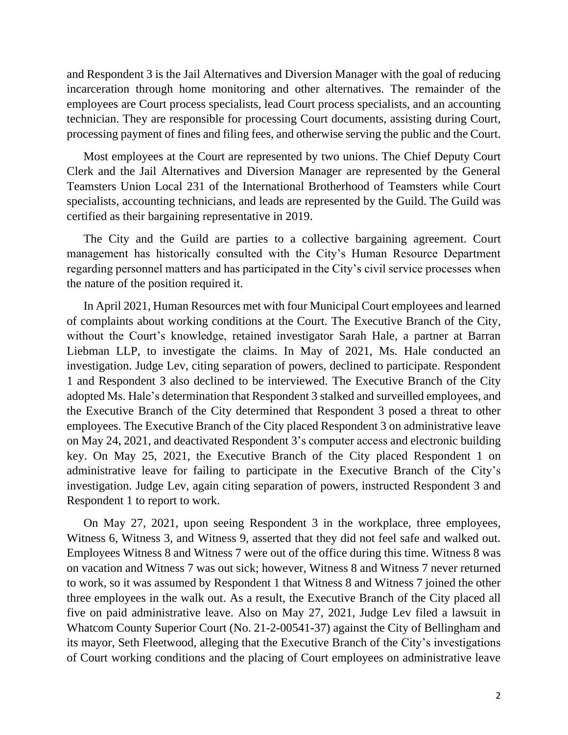and Respondent 3 is the Jail Alternatives and Diversion Manager with the goal of reducing incarceration through home monitoring and other alternatives. The remainder of the employees are Court process specialists, lead Court process specialists, and an accounting technician. They are responsible for processing Court documents, assisting during Court, processing payment of fines and filing fees, and otherwise serving the public and the Court.

Most employees at the Court are represented by two unions. The Chief Deputy Court Clerk and the Jail Alternatives and Diversion Manager are represented by the General Teamsters Union Local 231 of the International Brotherhood of Teamsters while Court specialists, accounting technicians, and leads are represented by the Guild. The Guild was certified as their bargaining representative in 2019.

The City and the Guild are parties to a collective bargaining agreement. Court management has historically consulted with the City's Human Resource Department regarding personnel matters and has participated in the City's civil service processes when the nature of the position required it.

In April 2021, Human Resources met with four Municipal Court employees and learned of complaints about working conditions at the Court. The Executive Branch of the City, without the Court's knowledge, retained investigator Sarah Hale, a partner at Barran Liebman LLP, to investigate the claims. In May of 2021, Ms. Hale conducted an investigation. Judge Lev, citing separation of powers, declined to participate. Respondent 1 and Respondent 3 also declined to be interviewed. The Executive Branch of the City adopted Ms. Hale's determination that Respondent 3 stalked and surveilled employees, and the Executive Branch of the City determined that Respondent 3 posed a threat to other employees. The Executive Branch of the City placed Respondent 3 on administrative leave on May 24, 2021, and deactivated Respondent 3's computer access and electronic building key. On May 25, 2021, the Executive Branch of the City placed Respondent 1 on administrative leave for failing to participate in the Executive Branch of the City's investigation. Judge Lev, again citing separation of powers, instructed Respondent 3 and Respondent 1 to report to work.

On May 27, 2021, upon seeing Respondent 3 in the workplace, three employees, Witness 6, Witness 3, and Witness 9, asserted that they did not feel safe and walked out. Employees Witness 8 and Witness 7 were out of the office during this time. Witness 8 was on vacation and Witness 7 was out sick; however, Witness 8 and Witness 7 never returned to work, so it was assumed by Respondent 1 that Witness 8 and Witness 7 joined the other three employees in the walk out. As a result, the Executive Branch of the City placed all five on paid administrative leave. Also on May 27, 2021, Judge Lev filed a lawsuit in Whatcom County Superior Court (No. 21-2-00541-37) against the City of Bellingham and its mayor, Seth Fleetwood, alleging that the Executive Branch of the City's investigations of Court working conditions and the placing of Court employees on administrative leave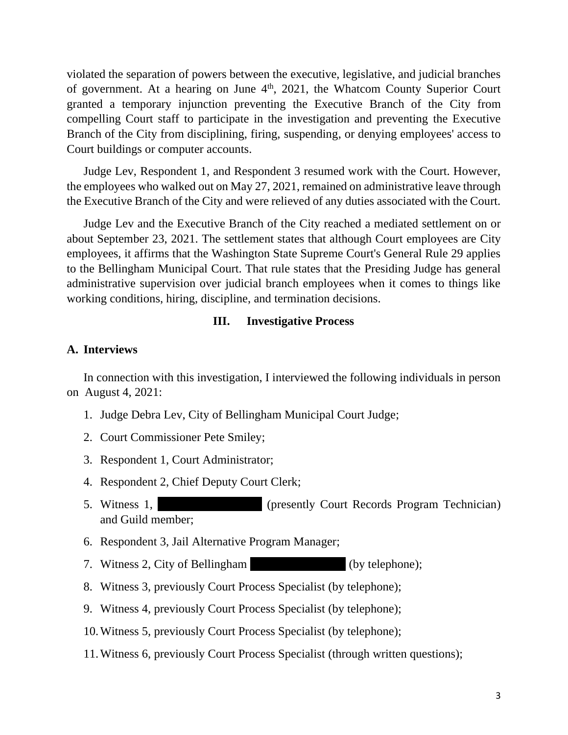violated the separation of powers between the executive, legislative, and judicial branches of government. At a hearing on June 4<sup>th</sup>, 2021, the Whatcom County Superior Court granted a temporary injunction preventing the Executive Branch of the City from compelling Court staff to participate in the investigation and preventing the Executive Branch of the City from disciplining, firing, suspending, or denying employees' access to Court buildings or computer accounts.

Judge Lev, Respondent 1, and Respondent 3 resumed work with the Court. However, the employees who walked out on May 27, 2021, remained on administrative leave through the Executive Branch of the City and were relieved of any duties associated with the Court.

Judge Lev and the Executive Branch of the City reached a mediated settlement on or about September 23, 2021. The settlement states that although Court employees are City employees, it affirms that the Washington State Supreme Court's General Rule 29 applies to the Bellingham Municipal Court. That rule states that the Presiding Judge has general administrative supervision over judicial branch employees when it comes to things like working conditions, hiring, discipline, and termination decisions.

### **III. Investigative Process**

### **A. Interviews**

In connection with this investigation, I interviewed the following individuals in person on August 4, 2021:

- 1. Judge Debra Lev, City of Bellingham Municipal Court Judge;
- 2. Court Commissioner Pete Smiley;
- 3. Respondent 1, Court Administrator;
- 4. Respondent 2, Chief Deputy Court Clerk;
- 5. Witness 1, Vitness 1, (presently Court Records Program Technician) and Guild member;
- 6. Respondent 3, Jail Alternative Program Manager;
- 7. Witness 2, City of Bellingham (by telephone);
- 8. Witness 3, previously Court Process Specialist (by telephone);
- 9. Witness 4, previously Court Process Specialist (by telephone);
- 10.Witness 5, previously Court Process Specialist (by telephone);
- 11.Witness 6, previously Court Process Specialist (through written questions);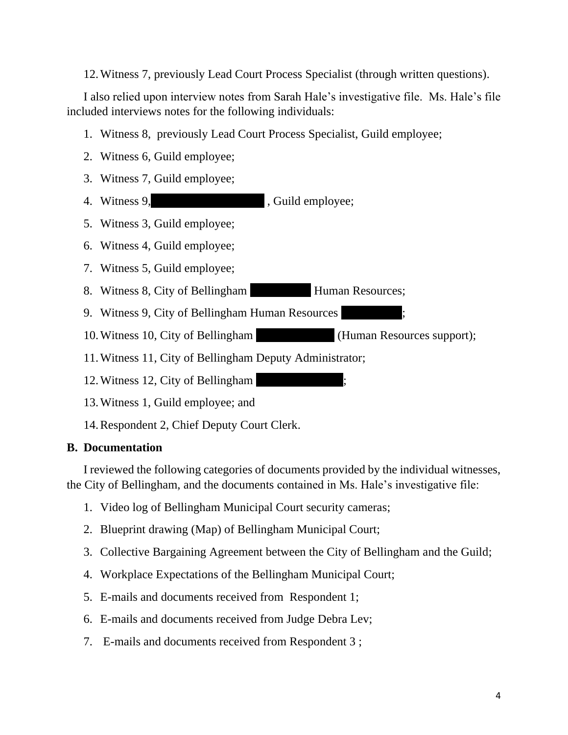12.Witness 7, previously Lead Court Process Specialist (through written questions).

I also relied upon interview notes from Sarah Hale's investigative file. Ms. Hale's file included interviews notes for the following individuals:

- 1. Witness 8, previously Lead Court Process Specialist, Guild employee;
- 2. Witness 6, Guild employee;
- 3. Witness 7, Guild employee;
- 4. Witness 9, Guild employee;
- 5. Witness 3, Guild employee;
- 6. Witness 4, Guild employee;
- 7. Witness 5, Guild employee;
- 8. Witness 8, City of Bellingham Human Resources;
- 9. Witness 9, City of Bellingham Human Resources
- 10. Witness 10, City of Bellingham (Human Resources support);
- 11.Witness 11, City of Bellingham Deputy Administrator;
- 12. Witness 12, City of Bellingham
- 13.Witness 1, Guild employee; and
- 14.Respondent 2, Chief Deputy Court Clerk.

# **B. Documentation**

I reviewed the following categories of documents provided by the individual witnesses, the City of Bellingham, and the documents contained in Ms. Hale's investigative file:

- 1. Video log of Bellingham Municipal Court security cameras;
- 2. Blueprint drawing (Map) of Bellingham Municipal Court;
- 3. Collective Bargaining Agreement between the City of Bellingham and the Guild;
- 4. Workplace Expectations of the Bellingham Municipal Court;
- 5. E-mails and documents received from Respondent 1;
- 6. E-mails and documents received from Judge Debra Lev;
- 7. E-mails and documents received from Respondent 3 ;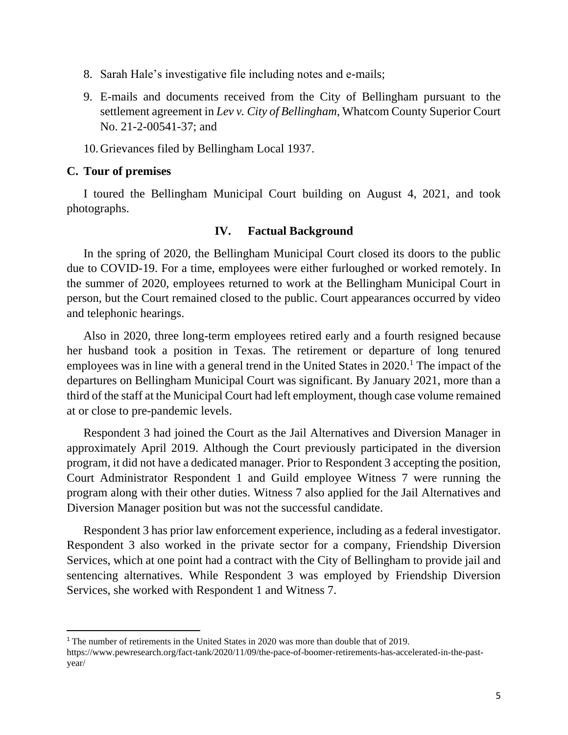- 8. Sarah Hale's investigative file including notes and e-mails;
- 9. E-mails and documents received from the City of Bellingham pursuant to the settlement agreement in *Lev v. City of Bellingham*, Whatcom County Superior Court No. 21-2-00541-37; and
- 10.Grievances filed by Bellingham Local 1937.

### **C. Tour of premises**

I toured the Bellingham Municipal Court building on August 4, 2021, and took photographs.

### **IV. Factual Background**

In the spring of 2020, the Bellingham Municipal Court closed its doors to the public due to COVID-19. For a time, employees were either furloughed or worked remotely. In the summer of 2020, employees returned to work at the Bellingham Municipal Court in person, but the Court remained closed to the public. Court appearances occurred by video and telephonic hearings.

Also in 2020, three long-term employees retired early and a fourth resigned because her husband took a position in Texas. The retirement or departure of long tenured employees was in line with a general trend in the United States in 2020.<sup>1</sup> The impact of the departures on Bellingham Municipal Court was significant. By January 2021, more than a third of the staff at the Municipal Court had left employment, though case volume remained at or close to pre-pandemic levels.

Respondent 3 had joined the Court as the Jail Alternatives and Diversion Manager in approximately April 2019. Although the Court previously participated in the diversion program, it did not have a dedicated manager. Prior to Respondent 3 accepting the position, Court Administrator Respondent 1 and Guild employee Witness 7 were running the program along with their other duties. Witness 7 also applied for the Jail Alternatives and Diversion Manager position but was not the successful candidate.

Respondent 3 has prior law enforcement experience, including as a federal investigator. Respondent 3 also worked in the private sector for a company, Friendship Diversion Services, which at one point had a contract with the City of Bellingham to provide jail and sentencing alternatives. While Respondent 3 was employed by Friendship Diversion Services, she worked with Respondent 1 and Witness 7.

<sup>1</sup> The number of retirements in the United States in 2020 was more than double that of 2019.

https://www.pewresearch.org/fact-tank/2020/11/09/the-pace-of-boomer-retirements-has-accelerated-in-the-pastyear/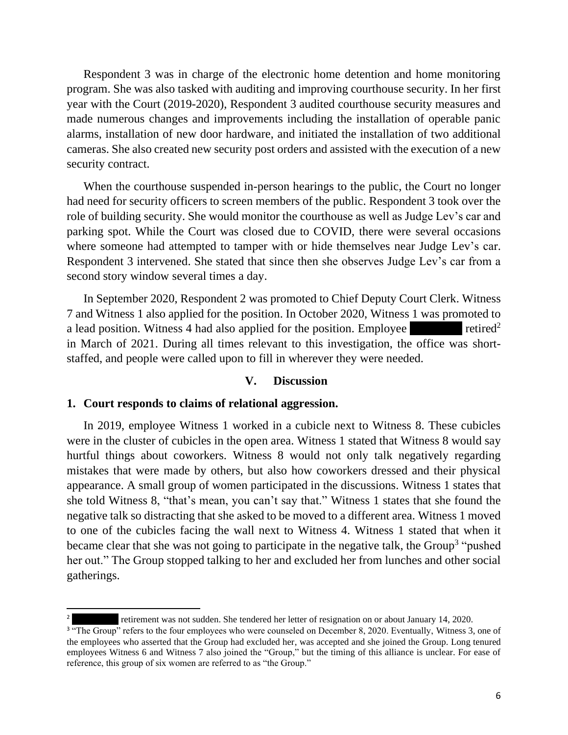Respondent 3 was in charge of the electronic home detention and home monitoring program. She was also tasked with auditing and improving courthouse security. In her first year with the Court (2019-2020), Respondent 3 audited courthouse security measures and made numerous changes and improvements including the installation of operable panic alarms, installation of new door hardware, and initiated the installation of two additional cameras. She also created new security post orders and assisted with the execution of a new security contract.

When the courthouse suspended in-person hearings to the public, the Court no longer had need for security officers to screen members of the public. Respondent 3 took over the role of building security. She would monitor the courthouse as well as Judge Lev's car and parking spot. While the Court was closed due to COVID, there were several occasions where someone had attempted to tamper with or hide themselves near Judge Lev's car. Respondent 3 intervened. She stated that since then she observes Judge Lev's car from a second story window several times a day.

In September 2020, Respondent 2 was promoted to Chief Deputy Court Clerk. Witness 7 and Witness 1 also applied for the position. In October 2020, Witness 1 was promoted to a lead position. Witness 4 had also applied for the position. Employee  $\blacksquare$  retired<sup>2</sup> in March of 2021. During all times relevant to this investigation, the office was shortstaffed, and people were called upon to fill in wherever they were needed.

#### **V. Discussion**

### **1. Court responds to claims of relational aggression.**

In 2019, employee Witness 1 worked in a cubicle next to Witness 8. These cubicles were in the cluster of cubicles in the open area. Witness 1 stated that Witness 8 would say hurtful things about coworkers. Witness 8 would not only talk negatively regarding mistakes that were made by others, but also how coworkers dressed and their physical appearance. A small group of women participated in the discussions. Witness 1 states that she told Witness 8, "that's mean, you can't say that." Witness 1 states that she found the negative talk so distracting that she asked to be moved to a different area. Witness 1 moved to one of the cubicles facing the wall next to Witness 4. Witness 1 stated that when it became clear that she was not going to participate in the negative talk, the Group<sup>3</sup> "pushed her out." The Group stopped talking to her and excluded her from lunches and other social gatherings.

retirement was not sudden. She tendered her letter of resignation on or about January 14, 2020.

<sup>&</sup>lt;sup>3</sup> "The Group" refers to the four employees who were counseled on December 8, 2020. Eventually, Witness 3, one of the employees who asserted that the Group had excluded her, was accepted and she joined the Group. Long tenured employees Witness 6 and Witness 7 also joined the "Group," but the timing of this alliance is unclear. For ease of reference, this group of six women are referred to as "the Group."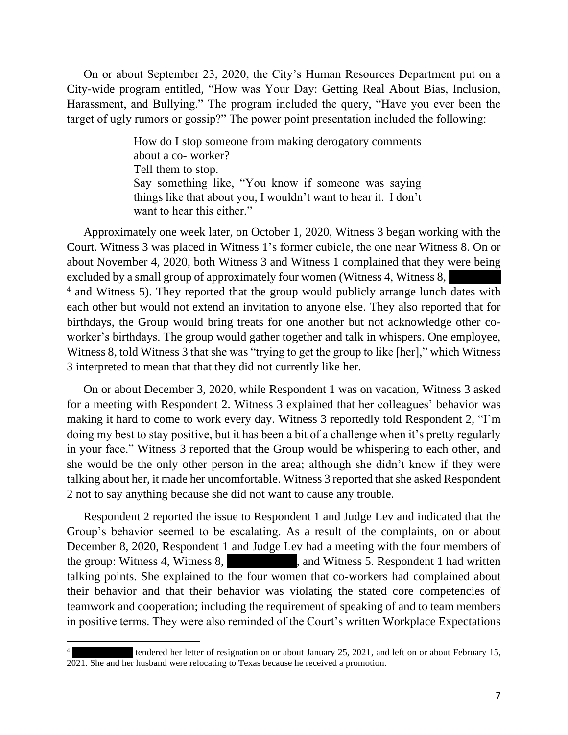On or about September 23, 2020, the City's Human Resources Department put on a City-wide program entitled, "How was Your Day: Getting Real About Bias, Inclusion, Harassment, and Bullying." The program included the query, "Have you ever been the target of ugly rumors or gossip?" The power point presentation included the following:

> How do I stop someone from making derogatory comments about a co- worker? Tell them to stop. Say something like, "You know if someone was saying things like that about you, I wouldn't want to hear it. I don't want to hear this either."

Approximately one week later, on October 1, 2020, Witness 3 began working with the Court. Witness 3 was placed in Witness 1's former cubicle, the one near Witness 8. On or about November 4, 2020, both Witness 3 and Witness 1 complained that they were being excluded by a small group of approximately four women (Witness 4, Witness 8, <sup>4</sup> and Witness 5). They reported that the group would publicly arrange lunch dates with each other but would not extend an invitation to anyone else. They also reported that for birthdays, the Group would bring treats for one another but not acknowledge other coworker's birthdays. The group would gather together and talk in whispers. One employee, Witness 8, told Witness 3 that she was "trying to get the group to like [her]," which Witness 3 interpreted to mean that that they did not currently like her.

On or about December 3, 2020, while Respondent 1 was on vacation, Witness 3 asked for a meeting with Respondent 2. Witness 3 explained that her colleagues' behavior was making it hard to come to work every day. Witness 3 reportedly told Respondent 2, "I'm doing my best to stay positive, but it has been a bit of a challenge when it's pretty regularly in your face." Witness 3 reported that the Group would be whispering to each other, and she would be the only other person in the area; although she didn't know if they were talking about her, it made her uncomfortable. Witness 3 reported that she asked Respondent 2 not to say anything because she did not want to cause any trouble.

Respondent 2 reported the issue to Respondent 1 and Judge Lev and indicated that the Group's behavior seemed to be escalating. As a result of the complaints, on or about December 8, 2020, Respondent 1 and Judge Lev had a meeting with the four members of the group: Witness 4, Witness 8,  $\mu$ , and Witness 5. Respondent 1 had written talking points. She explained to the four women that co-workers had complained about their behavior and that their behavior was violating the stated core competencies of teamwork and cooperation; including the requirement of speaking of and to team members in positive terms. They were also reminded of the Court's written Workplace Expectations

tendered her letter of resignation on or about January 25, 2021, and left on or about February 15, 2021. She and her husband were relocating to Texas because he received a promotion.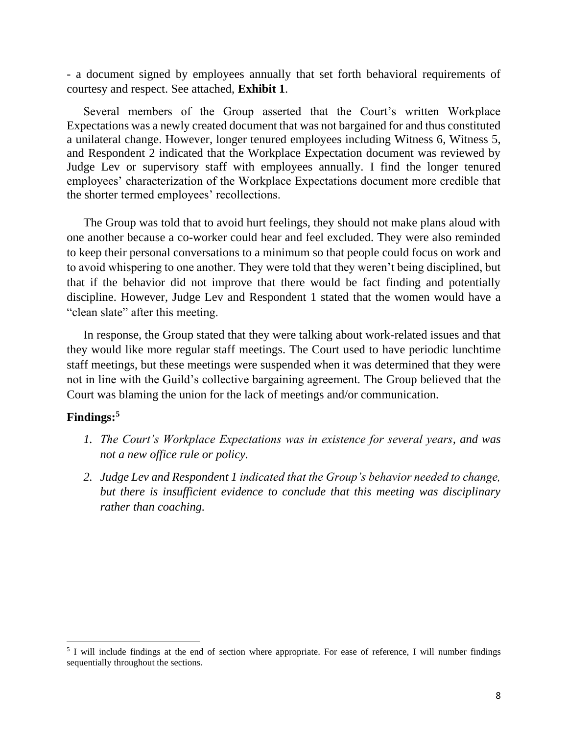- a document signed by employees annually that set forth behavioral requirements of courtesy and respect. See attached, **Exhibit 1**.

Several members of the Group asserted that the Court's written Workplace Expectations was a newly created document that was not bargained for and thus constituted a unilateral change. However, longer tenured employees including Witness 6, Witness 5, and Respondent 2 indicated that the Workplace Expectation document was reviewed by Judge Lev or supervisory staff with employees annually. I find the longer tenured employees' characterization of the Workplace Expectations document more credible that the shorter termed employees' recollections.

The Group was told that to avoid hurt feelings, they should not make plans aloud with one another because a co-worker could hear and feel excluded. They were also reminded to keep their personal conversations to a minimum so that people could focus on work and to avoid whispering to one another. They were told that they weren't being disciplined, but that if the behavior did not improve that there would be fact finding and potentially discipline. However, Judge Lev and Respondent 1 stated that the women would have a "clean slate" after this meeting.

In response, the Group stated that they were talking about work-related issues and that they would like more regular staff meetings. The Court used to have periodic lunchtime staff meetings, but these meetings were suspended when it was determined that they were not in line with the Guild's collective bargaining agreement. The Group believed that the Court was blaming the union for the lack of meetings and/or communication.

## **Findings: 5**

- *1. The Court's Workplace Expectations was in existence for several years, and was not a new office rule or policy.*
- *2. Judge Lev and Respondent 1 indicated that the Group's behavior needed to change, but there is insufficient evidence to conclude that this meeting was disciplinary rather than coaching.*

<sup>&</sup>lt;sup>5</sup> I will include findings at the end of section where appropriate. For ease of reference, I will number findings sequentially throughout the sections.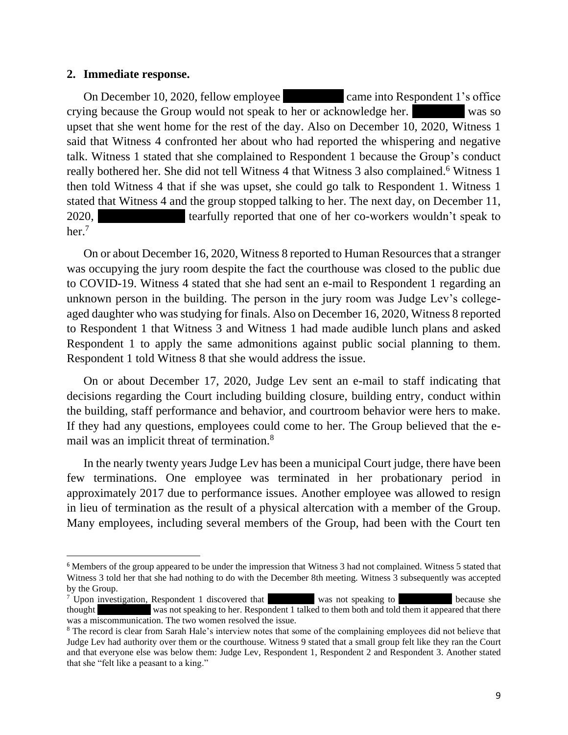### **2. Immediate response.**

On December 10, 2020, fellow employee came into Respondent 1's office crying because the Group would not speak to her or acknowledge her. Was so upset that she went home for the rest of the day. Also on December 10, 2020, Witness 1 said that Witness 4 confronted her about who had reported the whispering and negative talk. Witness 1 stated that she complained to Respondent 1 because the Group's conduct really bothered her. She did not tell Witness 4 that Witness 3 also complained.<sup>6</sup> Witness 1 then told Witness 4 that if she was upset, she could go talk to Respondent 1. Witness 1 stated that Witness 4 and the group stopped talking to her. The next day, on December 11, 2020, tearfully reported that one of her co-workers wouldn't speak to her. 7

On or about December 16, 2020, Witness 8 reported to Human Resources that a stranger was occupying the jury room despite the fact the courthouse was closed to the public due to COVID-19. Witness 4 stated that she had sent an e-mail to Respondent 1 regarding an unknown person in the building. The person in the jury room was Judge Lev's collegeaged daughter who was studying for finals. Also on December 16, 2020, Witness 8 reported to Respondent 1 that Witness 3 and Witness 1 had made audible lunch plans and asked Respondent 1 to apply the same admonitions against public social planning to them. Respondent 1 told Witness 8 that she would address the issue.

On or about December 17, 2020, Judge Lev sent an e-mail to staff indicating that decisions regarding the Court including building closure, building entry, conduct within the building, staff performance and behavior, and courtroom behavior were hers to make. If they had any questions, employees could come to her. The Group believed that the email was an implicit threat of termination.<sup>8</sup>

In the nearly twenty years Judge Lev has been a municipal Court judge, there have been few terminations. One employee was terminated in her probationary period in approximately 2017 due to performance issues. Another employee was allowed to resign in lieu of termination as the result of a physical altercation with a member of the Group. Many employees, including several members of the Group, had been with the Court ten

<sup>6</sup> Members of the group appeared to be under the impression that Witness 3 had not complained. Witness 5 stated that Witness 3 told her that she had nothing to do with the December 8th meeting. Witness 3 subsequently was accepted by the Group.

 $7$  Upon investigation, Respondent 1 discovered that  $\overline{X}$  was not speaking to  $\overline{X}$  because she thought was not speaking to her. Respondent 1 talked to them both and told them it appeared that there was a miscommunication. The two women resolved the issue.

<sup>&</sup>lt;sup>8</sup> The record is clear from Sarah Hale's interview notes that some of the complaining employees did not believe that Judge Lev had authority over them or the courthouse. Witness 9 stated that a small group felt like they ran the Court and that everyone else was below them: Judge Lev, Respondent 1, Respondent 2 and Respondent 3. Another stated that she "felt like a peasant to a king."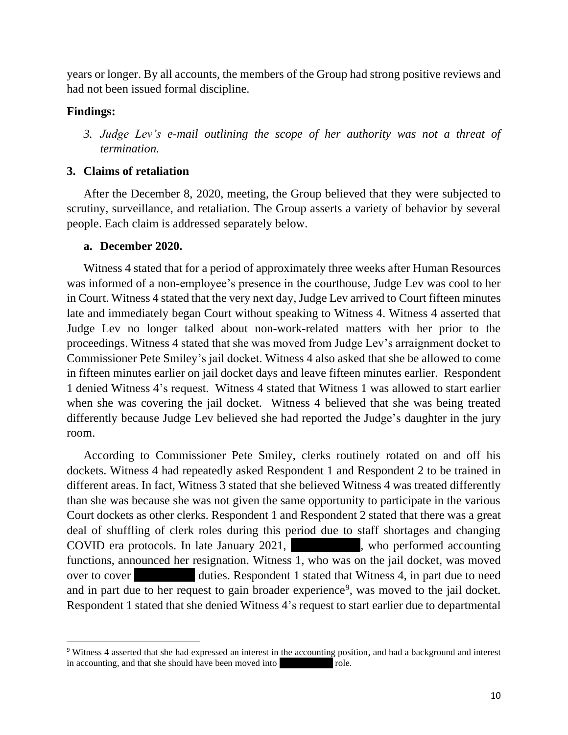years or longer. By all accounts, the members of the Group had strong positive reviews and had not been issued formal discipline.

## **Findings:**

*3. Judge Lev's e-mail outlining the scope of her authority was not a threat of termination.*

## **3. Claims of retaliation**

After the December 8, 2020, meeting, the Group believed that they were subjected to scrutiny, surveillance, and retaliation. The Group asserts a variety of behavior by several people. Each claim is addressed separately below.

### **a. December 2020.**

Witness 4 stated that for a period of approximately three weeks after Human Resources was informed of a non-employee's presence in the courthouse, Judge Lev was cool to her in Court. Witness 4 stated that the very next day, Judge Lev arrived to Court fifteen minutes late and immediately began Court without speaking to Witness 4. Witness 4 asserted that Judge Lev no longer talked about non-work-related matters with her prior to the proceedings. Witness 4 stated that she was moved from Judge Lev's arraignment docket to Commissioner Pete Smiley's jail docket. Witness 4 also asked that she be allowed to come in fifteen minutes earlier on jail docket days and leave fifteen minutes earlier. Respondent 1 denied Witness 4's request. Witness 4 stated that Witness 1 was allowed to start earlier when she was covering the jail docket. Witness 4 believed that she was being treated differently because Judge Lev believed she had reported the Judge's daughter in the jury room.

According to Commissioner Pete Smiley, clerks routinely rotated on and off his dockets. Witness 4 had repeatedly asked Respondent 1 and Respondent 2 to be trained in different areas. In fact, Witness 3 stated that she believed Witness 4 was treated differently than she was because she was not given the same opportunity to participate in the various Court dockets as other clerks. Respondent 1 and Respondent 2 stated that there was a great deal of shuffling of clerk roles during this period due to staff shortages and changing COVID era protocols. In late January  $2021$ , who performed accounting functions, announced her resignation. Witness 1, who was on the jail docket, was moved over to cover duties. Respondent 1 stated that Witness 4, in part due to need and in part due to her request to gain broader experience<sup>9</sup>, was moved to the jail docket. Respondent 1 stated that she denied Witness 4's request to start earlier due to departmental

<sup>9</sup> Witness 4 asserted that she had expressed an interest in the accounting position, and had a background and interest in accounting, and that she should have been moved into role.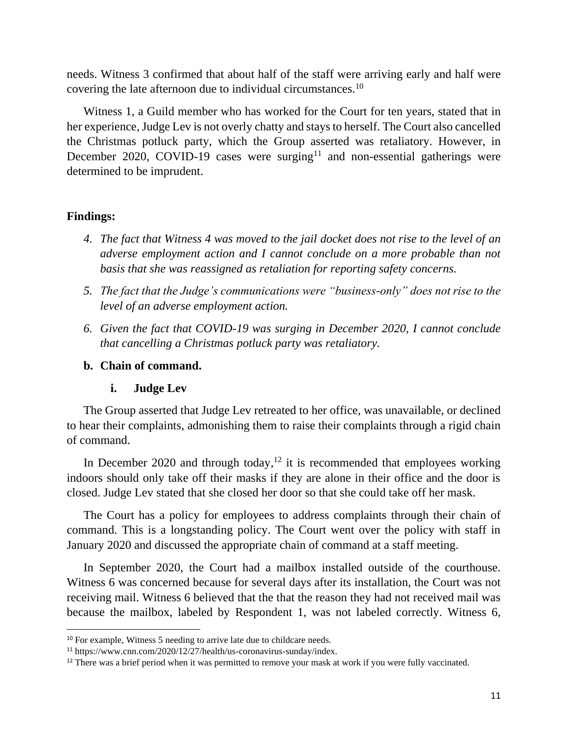needs. Witness 3 confirmed that about half of the staff were arriving early and half were covering the late afternoon due to individual circumstances.<sup>10</sup>

Witness 1, a Guild member who has worked for the Court for ten years, stated that in her experience,Judge Lev is not overly chatty and stays to herself. The Court also cancelled the Christmas potluck party, which the Group asserted was retaliatory. However, in December 2020, COVID-19 cases were surging<sup>11</sup> and non-essential gatherings were determined to be imprudent.

### **Findings:**

- *4. The fact that Witness 4 was moved to the jail docket does not rise to the level of an adverse employment action and I cannot conclude on a more probable than not basis that she was reassigned as retaliation for reporting safety concerns.*
- *5. The fact that the Judge's communications were "business-only" does not rise to the level of an adverse employment action.*
- *6. Given the fact that COVID-19 was surging in December 2020, I cannot conclude that cancelling a Christmas potluck party was retaliatory.*

## **b. Chain of command.**

# **i. Judge Lev**

The Group asserted that Judge Lev retreated to her office, was unavailable, or declined to hear their complaints, admonishing them to raise their complaints through a rigid chain of command.

In December 2020 and through today, $12$  it is recommended that employees working indoors should only take off their masks if they are alone in their office and the door is closed. Judge Lev stated that she closed her door so that she could take off her mask.

The Court has a policy for employees to address complaints through their chain of command. This is a longstanding policy. The Court went over the policy with staff in January 2020 and discussed the appropriate chain of command at a staff meeting.

In September 2020, the Court had a mailbox installed outside of the courthouse. Witness 6 was concerned because for several days after its installation, the Court was not receiving mail. Witness 6 believed that the that the reason they had not received mail was because the mailbox, labeled by Respondent 1, was not labeled correctly. Witness 6,

<sup>&</sup>lt;sup>10</sup> For example, Witness 5 needing to arrive late due to childcare needs.

<sup>11</sup> https://www.cnn.com/2020/12/27/health/us-coronavirus-sunday/index.

<sup>&</sup>lt;sup>12</sup> There was a brief period when it was permitted to remove your mask at work if you were fully vaccinated.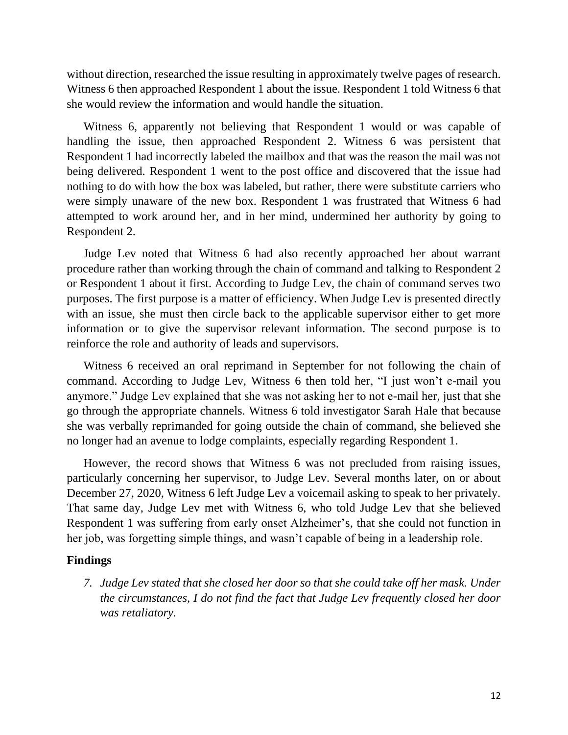without direction, researched the issue resulting in approximately twelve pages of research. Witness 6 then approached Respondent 1 about the issue. Respondent 1 told Witness 6 that she would review the information and would handle the situation.

Witness 6, apparently not believing that Respondent 1 would or was capable of handling the issue, then approached Respondent 2. Witness 6 was persistent that Respondent 1 had incorrectly labeled the mailbox and that was the reason the mail was not being delivered. Respondent 1 went to the post office and discovered that the issue had nothing to do with how the box was labeled, but rather, there were substitute carriers who were simply unaware of the new box. Respondent 1 was frustrated that Witness 6 had attempted to work around her, and in her mind, undermined her authority by going to Respondent 2.

Judge Lev noted that Witness 6 had also recently approached her about warrant procedure rather than working through the chain of command and talking to Respondent 2 or Respondent 1 about it first. According to Judge Lev, the chain of command serves two purposes. The first purpose is a matter of efficiency. When Judge Lev is presented directly with an issue, she must then circle back to the applicable supervisor either to get more information or to give the supervisor relevant information. The second purpose is to reinforce the role and authority of leads and supervisors.

Witness 6 received an oral reprimand in September for not following the chain of command. According to Judge Lev, Witness 6 then told her, "I just won't e-mail you anymore." Judge Lev explained that she was not asking her to not e-mail her, just that she go through the appropriate channels. Witness 6 told investigator Sarah Hale that because she was verbally reprimanded for going outside the chain of command, she believed she no longer had an avenue to lodge complaints, especially regarding Respondent 1.

However, the record shows that Witness 6 was not precluded from raising issues, particularly concerning her supervisor, to Judge Lev. Several months later, on or about December 27, 2020, Witness 6 left Judge Lev a voicemail asking to speak to her privately. That same day, Judge Lev met with Witness 6, who told Judge Lev that she believed Respondent 1 was suffering from early onset Alzheimer's, that she could not function in her job, was forgetting simple things, and wasn't capable of being in a leadership role.

#### **Findings**

*7. Judge Lev stated that she closed her door so that she could take off her mask. Under the circumstances, I do not find the fact that Judge Lev frequently closed her door was retaliatory.*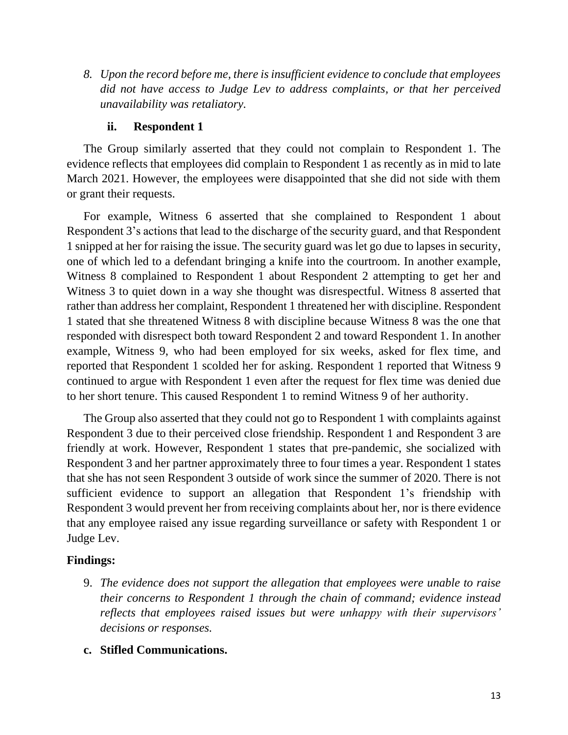*8. Upon the record before me, there is insufficient evidence to conclude that employees did not have access to Judge Lev to address complaints, or that her perceived unavailability was retaliatory.* 

# **ii. Respondent 1**

The Group similarly asserted that they could not complain to Respondent 1. The evidence reflects that employees did complain to Respondent 1 as recently as in mid to late March 2021. However, the employees were disappointed that she did not side with them or grant their requests.

For example, Witness 6 asserted that she complained to Respondent 1 about Respondent 3's actions that lead to the discharge of the security guard, and that Respondent 1 snipped at her for raising the issue. The security guard was let go due to lapses in security, one of which led to a defendant bringing a knife into the courtroom. In another example, Witness 8 complained to Respondent 1 about Respondent 2 attempting to get her and Witness 3 to quiet down in a way she thought was disrespectful. Witness 8 asserted that rather than address her complaint, Respondent 1 threatened her with discipline. Respondent 1 stated that she threatened Witness 8 with discipline because Witness 8 was the one that responded with disrespect both toward Respondent 2 and toward Respondent 1. In another example, Witness 9, who had been employed for six weeks, asked for flex time, and reported that Respondent 1 scolded her for asking. Respondent 1 reported that Witness 9 continued to argue with Respondent 1 even after the request for flex time was denied due to her short tenure. This caused Respondent 1 to remind Witness 9 of her authority.

The Group also asserted that they could not go to Respondent 1 with complaints against Respondent 3 due to their perceived close friendship. Respondent 1 and Respondent 3 are friendly at work. However, Respondent 1 states that pre-pandemic, she socialized with Respondent 3 and her partner approximately three to four times a year. Respondent 1 states that she has not seen Respondent 3 outside of work since the summer of 2020. There is not sufficient evidence to support an allegation that Respondent 1's friendship with Respondent 3 would prevent her from receiving complaints about her, nor is there evidence that any employee raised any issue regarding surveillance or safety with Respondent 1 or Judge Lev.

# **Findings:**

- 9. *The evidence does not support the allegation that employees were unable to raise their concerns to Respondent 1 through the chain of command; evidence instead reflects that employees raised issues but were unhappy with their supervisors' decisions or responses.*
- **c. Stifled Communications.**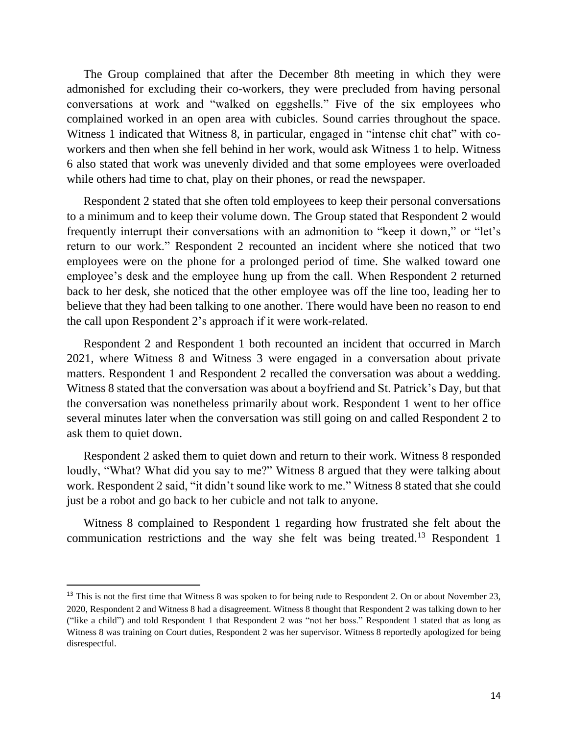The Group complained that after the December 8th meeting in which they were admonished for excluding their co-workers, they were precluded from having personal conversations at work and "walked on eggshells." Five of the six employees who complained worked in an open area with cubicles. Sound carries throughout the space. Witness 1 indicated that Witness 8, in particular, engaged in "intense chit chat" with coworkers and then when she fell behind in her work, would ask Witness 1 to help. Witness 6 also stated that work was unevenly divided and that some employees were overloaded while others had time to chat, play on their phones, or read the newspaper.

Respondent 2 stated that she often told employees to keep their personal conversations to a minimum and to keep their volume down. The Group stated that Respondent 2 would frequently interrupt their conversations with an admonition to "keep it down," or "let's return to our work." Respondent 2 recounted an incident where she noticed that two employees were on the phone for a prolonged period of time. She walked toward one employee's desk and the employee hung up from the call. When Respondent 2 returned back to her desk, she noticed that the other employee was off the line too, leading her to believe that they had been talking to one another. There would have been no reason to end the call upon Respondent 2's approach if it were work-related.

Respondent 2 and Respondent 1 both recounted an incident that occurred in March 2021, where Witness 8 and Witness 3 were engaged in a conversation about private matters. Respondent 1 and Respondent 2 recalled the conversation was about a wedding. Witness 8 stated that the conversation was about a boyfriend and St. Patrick's Day, but that the conversation was nonetheless primarily about work. Respondent 1 went to her office several minutes later when the conversation was still going on and called Respondent 2 to ask them to quiet down.

Respondent 2 asked them to quiet down and return to their work. Witness 8 responded loudly, "What? What did you say to me?" Witness 8 argued that they were talking about work. Respondent 2 said, "it didn't sound like work to me." Witness 8 stated that she could just be a robot and go back to her cubicle and not talk to anyone.

Witness 8 complained to Respondent 1 regarding how frustrated she felt about the communication restrictions and the way she felt was being treated.<sup>13</sup> Respondent 1

<sup>&</sup>lt;sup>13</sup> This is not the first time that Witness 8 was spoken to for being rude to Respondent 2. On or about November 23, 2020, Respondent 2 and Witness 8 had a disagreement. Witness 8 thought that Respondent 2 was talking down to her ("like a child") and told Respondent 1 that Respondent 2 was "not her boss." Respondent 1 stated that as long as Witness 8 was training on Court duties, Respondent 2 was her supervisor. Witness 8 reportedly apologized for being disrespectful.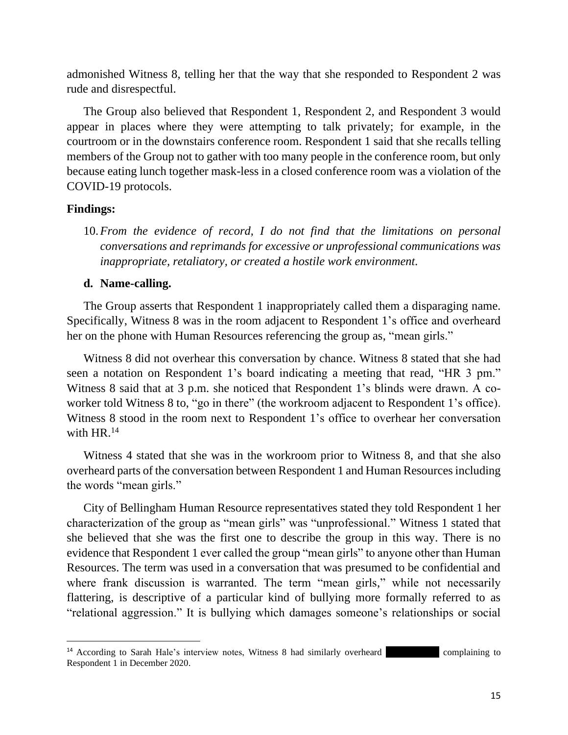admonished Witness 8, telling her that the way that she responded to Respondent 2 was rude and disrespectful.

The Group also believed that Respondent 1, Respondent 2, and Respondent 3 would appear in places where they were attempting to talk privately; for example, in the courtroom or in the downstairs conference room. Respondent 1 said that she recalls telling members of the Group not to gather with too many people in the conference room, but only because eating lunch together mask-less in a closed conference room was a violation of the COVID-19 protocols.

### **Findings:**

10.*From the evidence of record, I do not find that the limitations on personal conversations and reprimands for excessive or unprofessional communications was inappropriate, retaliatory, or created a hostile work environment.*

### **d. Name-calling.**

The Group asserts that Respondent 1 inappropriately called them a disparaging name. Specifically, Witness 8 was in the room adjacent to Respondent 1's office and overheard her on the phone with Human Resources referencing the group as, "mean girls."

Witness 8 did not overhear this conversation by chance. Witness 8 stated that she had seen a notation on Respondent 1's board indicating a meeting that read, "HR 3 pm." Witness 8 said that at 3 p.m. she noticed that Respondent 1's blinds were drawn. A coworker told Witness 8 to, "go in there" (the workroom adjacent to Respondent 1's office). Witness 8 stood in the room next to Respondent 1's office to overhear her conversation with  $HR.^{14}$ 

Witness 4 stated that she was in the workroom prior to Witness 8, and that she also overheard parts of the conversation between Respondent 1 and Human Resourcesincluding the words "mean girls."

City of Bellingham Human Resource representatives stated they told Respondent 1 her characterization of the group as "mean girls" was "unprofessional." Witness 1 stated that she believed that she was the first one to describe the group in this way. There is no evidence that Respondent 1 ever called the group "mean girls" to anyone other than Human Resources. The term was used in a conversation that was presumed to be confidential and where frank discussion is warranted. The term "mean girls," while not necessarily flattering, is descriptive of a particular kind of bullying more formally referred to as "relational aggression." It is bullying which damages someone's relationships or social

 $14$  According to Sarah Hale's interview notes, Witness 8 had similarly overheard complaining to Respondent 1 in December 2020.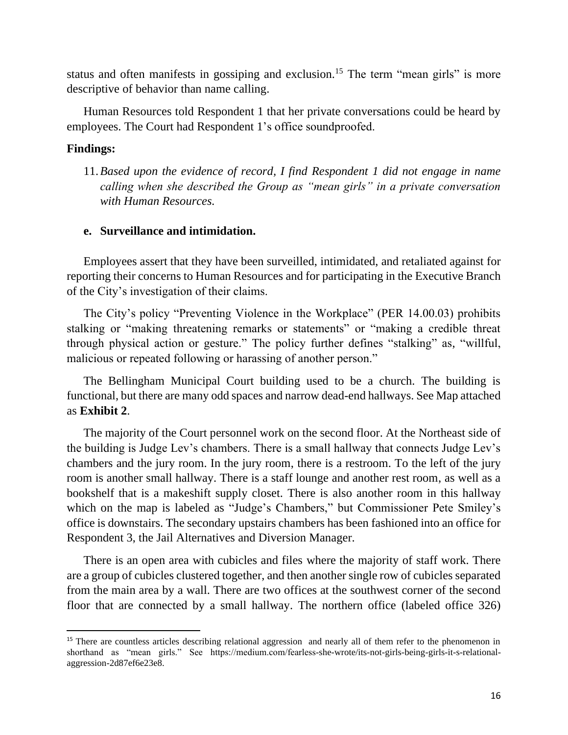status and often manifests in gossiping and exclusion.<sup>15</sup> The term "mean girls" is more descriptive of behavior than name calling.

Human Resources told Respondent 1 that her private conversations could be heard by employees. The Court had Respondent 1's office soundproofed.

### **Findings:**

11.*Based upon the evidence of record, I find Respondent 1 did not engage in name calling when she described the Group as "mean girls" in a private conversation with Human Resources.*

### **e. Surveillance and intimidation.**

Employees assert that they have been surveilled, intimidated, and retaliated against for reporting their concerns to Human Resources and for participating in the Executive Branch of the City's investigation of their claims.

The City's policy "Preventing Violence in the Workplace" (PER 14.00.03) prohibits stalking or "making threatening remarks or statements" or "making a credible threat through physical action or gesture." The policy further defines "stalking" as, "willful, malicious or repeated following or harassing of another person."

The Bellingham Municipal Court building used to be a church. The building is functional, but there are many odd spaces and narrow dead-end hallways. See Map attached as **Exhibit 2**.

The majority of the Court personnel work on the second floor. At the Northeast side of the building is Judge Lev's chambers. There is a small hallway that connects Judge Lev's chambers and the jury room. In the jury room, there is a restroom. To the left of the jury room is another small hallway. There is a staff lounge and another rest room, as well as a bookshelf that is a makeshift supply closet. There is also another room in this hallway which on the map is labeled as "Judge's Chambers," but Commissioner Pete Smiley's office is downstairs. The secondary upstairs chambers has been fashioned into an office for Respondent 3, the Jail Alternatives and Diversion Manager.

There is an open area with cubicles and files where the majority of staff work. There are a group of cubicles clustered together, and then another single row of cubicles separated from the main area by a wall. There are two offices at the southwest corner of the second floor that are connected by a small hallway. The northern office (labeled office 326)

<sup>&</sup>lt;sup>15</sup> There are countless articles describing relational aggression and nearly all of them refer to the phenomenon in shorthand as "mean girls." See https://medium.com/fearless-she-wrote/its-not-girls-being-girls-it-s-relationalaggression-2d87ef6e23e8.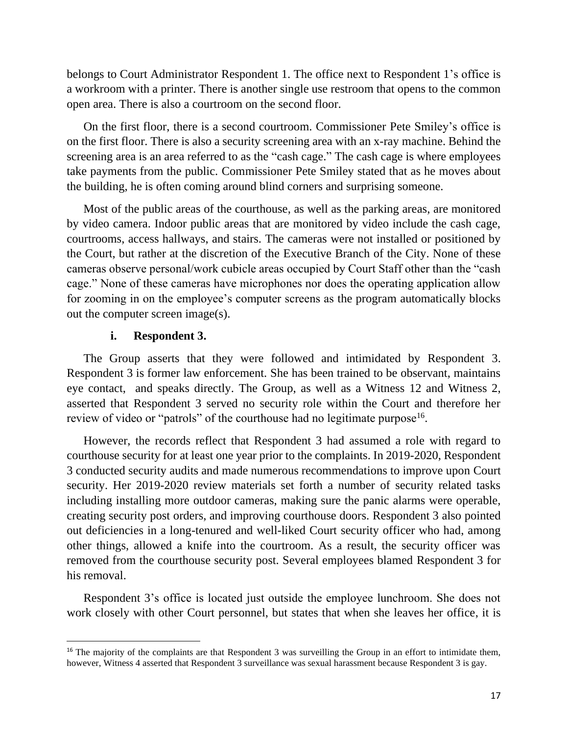belongs to Court Administrator Respondent 1. The office next to Respondent 1's office is a workroom with a printer. There is another single use restroom that opens to the common open area. There is also a courtroom on the second floor.

On the first floor, there is a second courtroom. Commissioner Pete Smiley's office is on the first floor. There is also a security screening area with an x-ray machine. Behind the screening area is an area referred to as the "cash cage." The cash cage is where employees take payments from the public. Commissioner Pete Smiley stated that as he moves about the building, he is often coming around blind corners and surprising someone.

Most of the public areas of the courthouse, as well as the parking areas, are monitored by video camera. Indoor public areas that are monitored by video include the cash cage, courtrooms, access hallways, and stairs. The cameras were not installed or positioned by the Court, but rather at the discretion of the Executive Branch of the City. None of these cameras observe personal/work cubicle areas occupied by Court Staff other than the "cash cage." None of these cameras have microphones nor does the operating application allow for zooming in on the employee's computer screens as the program automatically blocks out the computer screen image(s).

### **i. Respondent 3.**

The Group asserts that they were followed and intimidated by Respondent 3. Respondent 3 is former law enforcement. She has been trained to be observant, maintains eye contact, and speaks directly. The Group, as well as a Witness 12 and Witness 2, asserted that Respondent 3 served no security role within the Court and therefore her review of video or "patrols" of the courthouse had no legitimate purpose<sup>16</sup>.

However, the records reflect that Respondent 3 had assumed a role with regard to courthouse security for at least one year prior to the complaints. In 2019-2020, Respondent 3 conducted security audits and made numerous recommendations to improve upon Court security. Her 2019-2020 review materials set forth a number of security related tasks including installing more outdoor cameras, making sure the panic alarms were operable, creating security post orders, and improving courthouse doors. Respondent 3 also pointed out deficiencies in a long-tenured and well-liked Court security officer who had, among other things, allowed a knife into the courtroom. As a result, the security officer was removed from the courthouse security post. Several employees blamed Respondent 3 for his removal.

Respondent 3's office is located just outside the employee lunchroom. She does not work closely with other Court personnel, but states that when she leaves her office, it is

<sup>&</sup>lt;sup>16</sup> The majority of the complaints are that Respondent 3 was surveilling the Group in an effort to intimidate them, however, Witness 4 asserted that Respondent 3 surveillance was sexual harassment because Respondent 3 is gay.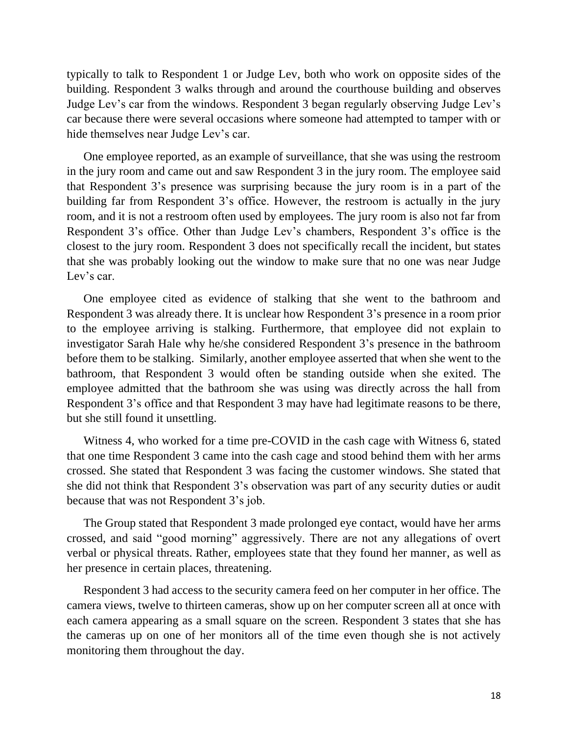typically to talk to Respondent 1 or Judge Lev, both who work on opposite sides of the building. Respondent 3 walks through and around the courthouse building and observes Judge Lev's car from the windows. Respondent 3 began regularly observing Judge Lev's car because there were several occasions where someone had attempted to tamper with or hide themselves near Judge Lev's car.

One employee reported, as an example of surveillance, that she was using the restroom in the jury room and came out and saw Respondent 3 in the jury room. The employee said that Respondent 3's presence was surprising because the jury room is in a part of the building far from Respondent 3's office. However, the restroom is actually in the jury room, and it is not a restroom often used by employees. The jury room is also not far from Respondent 3's office. Other than Judge Lev's chambers, Respondent 3's office is the closest to the jury room. Respondent 3 does not specifically recall the incident, but states that she was probably looking out the window to make sure that no one was near Judge Lev's car.

One employee cited as evidence of stalking that she went to the bathroom and Respondent 3 was already there. It is unclear how Respondent 3's presence in a room prior to the employee arriving is stalking. Furthermore, that employee did not explain to investigator Sarah Hale why he/she considered Respondent 3's presence in the bathroom before them to be stalking. Similarly, another employee asserted that when she went to the bathroom, that Respondent 3 would often be standing outside when she exited. The employee admitted that the bathroom she was using was directly across the hall from Respondent 3's office and that Respondent 3 may have had legitimate reasons to be there, but she still found it unsettling.

Witness 4, who worked for a time pre-COVID in the cash cage with Witness 6, stated that one time Respondent 3 came into the cash cage and stood behind them with her arms crossed. She stated that Respondent 3 was facing the customer windows. She stated that she did not think that Respondent 3's observation was part of any security duties or audit because that was not Respondent 3's job.

The Group stated that Respondent 3 made prolonged eye contact, would have her arms crossed, and said "good morning" aggressively. There are not any allegations of overt verbal or physical threats. Rather, employees state that they found her manner, as well as her presence in certain places, threatening.

Respondent 3 had access to the security camera feed on her computer in her office. The camera views, twelve to thirteen cameras, show up on her computer screen all at once with each camera appearing as a small square on the screen. Respondent 3 states that she has the cameras up on one of her monitors all of the time even though she is not actively monitoring them throughout the day.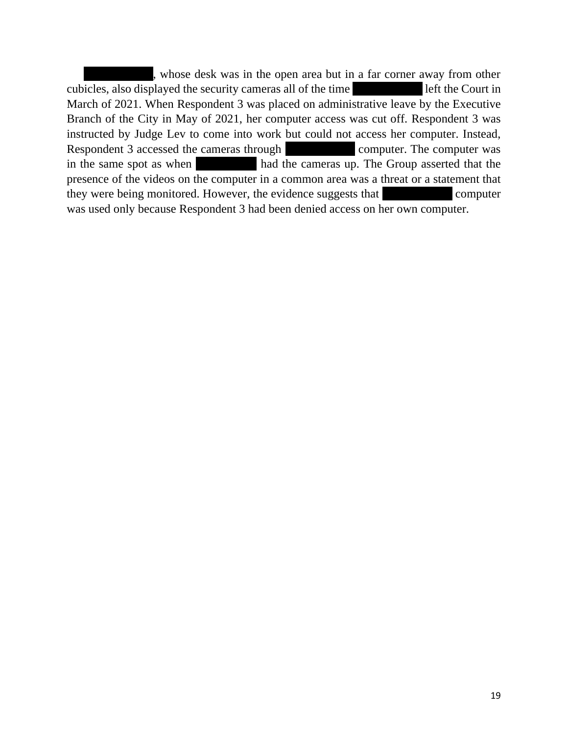, whose desk was in the open area but in a far corner away from other cubicles, also displayed the security cameras all of the time I left the Court in March of 2021. When Respondent 3 was placed on administrative leave by the Executive Branch of the City in May of 2021, her computer access was cut off. Respondent 3 was instructed by Judge Lev to come into work but could not access her computer. Instead, Respondent 3 accessed the cameras through  $\blacksquare$  computer. The computer was in the same spot as when  $\frac{1}{\sqrt{1-\frac{1}{\sqrt{1-\frac{1}{\sqrt{1-\frac{1}{\sqrt{1-\frac{1}{\sqrt{1-\frac{1}{\sqrt{1-\frac{1}{\sqrt{1-\frac{1}{\sqrt{1-\frac{1}{\sqrt{1-\frac{1}{\sqrt{1-\frac{1}{\sqrt{1-\frac{1}{\sqrt{1-\frac{1}{\sqrt{1-\frac{1}{\sqrt{1-\frac{1}{\sqrt{1-\frac{1}{\sqrt{1-\frac{1}{\sqrt{1-\frac{1}{\sqrt{1-\frac{1}{\sqrt{1-\frac{1}{\sqrt{1-\frac{1}{\sqrt{1-\frac{1}{\sqrt$ presence of the videos on the computer in a common area was a threat or a statement that they were being monitored. However, the evidence suggests that  $\blacksquare$ was used only because Respondent 3 had been denied access on her own computer.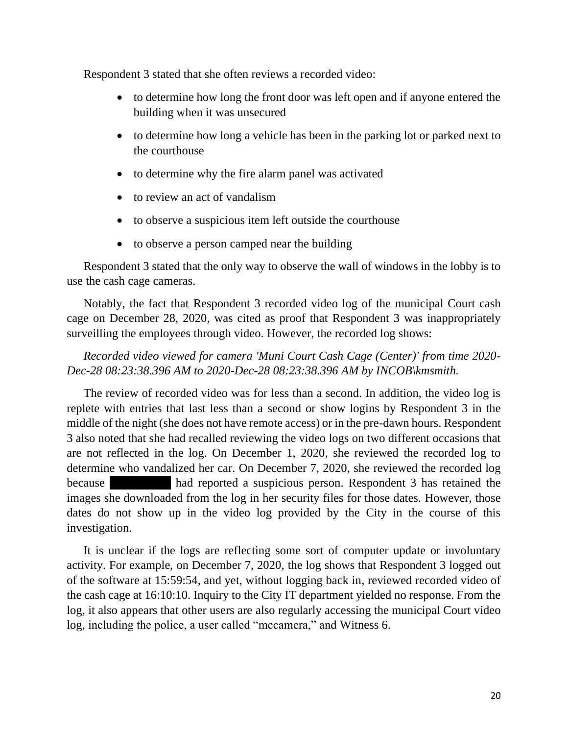Respondent 3 stated that she often reviews a recorded video:

- to determine how long the front door was left open and if anyone entered the building when it was unsecured
- to determine how long a vehicle has been in the parking lot or parked next to the courthouse
- to determine why the fire alarm panel was activated
- to review an act of vandalism
- to observe a suspicious item left outside the courthouse
- to observe a person camped near the building

Respondent 3 stated that the only way to observe the wall of windows in the lobby is to use the cash cage cameras.

Notably, the fact that Respondent 3 recorded video log of the municipal Court cash cage on December 28, 2020, was cited as proof that Respondent 3 was inappropriately surveilling the employees through video. However, the recorded log shows:

### *Recorded video viewed for camera 'Muni Court Cash Cage (Center)' from time 2020- Dec-28 08:23:38.396 AM to 2020-Dec-28 08:23:38.396 AM by INCOB\kmsmith.*

The review of recorded video was for less than a second. In addition, the video log is replete with entries that last less than a second or show logins by Respondent 3 in the middle of the night (she does not have remote access) or in the pre-dawn hours. Respondent 3 also noted that she had recalled reviewing the video logs on two different occasions that are not reflected in the log. On December 1, 2020, she reviewed the recorded log to determine who vandalized her car. On December 7, 2020, she reviewed the recorded log because had reported a suspicious person. Respondent 3 has retained the images she downloaded from the log in her security files for those dates. However, those dates do not show up in the video log provided by the City in the course of this investigation.

It is unclear if the logs are reflecting some sort of computer update or involuntary activity. For example, on December 7, 2020, the log shows that Respondent 3 logged out of the software at 15:59:54, and yet, without logging back in, reviewed recorded video of the cash cage at 16:10:10. Inquiry to the City IT department yielded no response. From the log, it also appears that other users are also regularly accessing the municipal Court video log, including the police, a user called "mccamera," and Witness 6.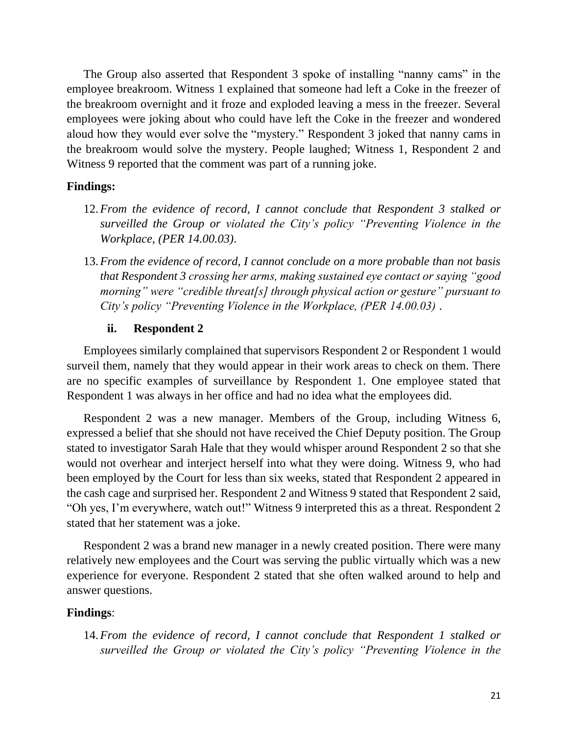The Group also asserted that Respondent 3 spoke of installing "nanny cams" in the employee breakroom. Witness 1 explained that someone had left a Coke in the freezer of the breakroom overnight and it froze and exploded leaving a mess in the freezer. Several employees were joking about who could have left the Coke in the freezer and wondered aloud how they would ever solve the "mystery." Respondent 3 joked that nanny cams in the breakroom would solve the mystery. People laughed; Witness 1, Respondent 2 and Witness 9 reported that the comment was part of a running joke.

### **Findings:**

- 12.*From the evidence of record, I cannot conclude that Respondent 3 stalked or surveilled the Group or violated the City's policy "Preventing Violence in the Workplace, (PER 14.00.03)*.
- 13.*From the evidence of record, I cannot conclude on a more probable than not basis that Respondent 3 crossing her arms, making sustained eye contact or saying "good morning" were "credible threat[s] through physical action or gesture" pursuant to City's policy "Preventing Violence in the Workplace, (PER 14.00.03)* .

### **ii. Respondent 2**

Employees similarly complained that supervisors Respondent 2 or Respondent 1 would surveil them, namely that they would appear in their work areas to check on them. There are no specific examples of surveillance by Respondent 1. One employee stated that Respondent 1 was always in her office and had no idea what the employees did.

Respondent 2 was a new manager. Members of the Group, including Witness 6, expressed a belief that she should not have received the Chief Deputy position. The Group stated to investigator Sarah Hale that they would whisper around Respondent 2 so that she would not overhear and interject herself into what they were doing. Witness 9, who had been employed by the Court for less than six weeks, stated that Respondent 2 appeared in the cash cage and surprised her. Respondent 2 and Witness 9 stated that Respondent 2 said, "Oh yes, I'm everywhere, watch out!" Witness 9 interpreted this as a threat. Respondent 2 stated that her statement was a joke.

Respondent 2 was a brand new manager in a newly created position. There were many relatively new employees and the Court was serving the public virtually which was a new experience for everyone. Respondent 2 stated that she often walked around to help and answer questions.

### **Findings**:

14.*From the evidence of record, I cannot conclude that Respondent 1 stalked or surveilled the Group or violated the City's policy "Preventing Violence in the*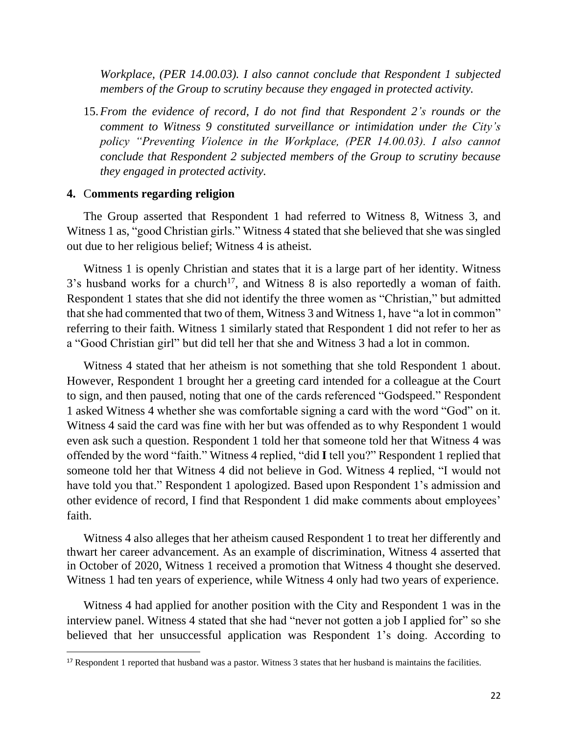*Workplace, (PER 14.00.03). I also cannot conclude that Respondent 1 subjected members of the Group to scrutiny because they engaged in protected activity.*

15.*From the evidence of record, I do not find that Respondent 2's rounds or the comment to Witness 9 constituted surveillance or intimidation under the City's policy "Preventing Violence in the Workplace, (PER 14.00.03). I also cannot conclude that Respondent 2 subjected members of the Group to scrutiny because they engaged in protected activity.*

### **4.** C**omments regarding religion**

The Group asserted that Respondent 1 had referred to Witness 8, Witness 3, and Witness 1 as, "good Christian girls." Witness 4 stated that she believed that she was singled out due to her religious belief; Witness 4 is atheist.

Witness 1 is openly Christian and states that it is a large part of her identity. Witness  $3$ 's husband works for a church<sup>17</sup>, and Witness 8 is also reportedly a woman of faith. Respondent 1 states that she did not identify the three women as "Christian," but admitted that she had commented that two of them, Witness 3 and Witness 1, have "a lot in common" referring to their faith. Witness 1 similarly stated that Respondent 1 did not refer to her as a "Good Christian girl" but did tell her that she and Witness 3 had a lot in common.

Witness 4 stated that her atheism is not something that she told Respondent 1 about. However, Respondent 1 brought her a greeting card intended for a colleague at the Court to sign, and then paused, noting that one of the cards referenced "Godspeed." Respondent 1 asked Witness 4 whether she was comfortable signing a card with the word "God" on it. Witness 4 said the card was fine with her but was offended as to why Respondent 1 would even ask such a question. Respondent 1 told her that someone told her that Witness 4 was offended by the word "faith." Witness 4 replied, "did **I** tell you?" Respondent 1 replied that someone told her that Witness 4 did not believe in God. Witness 4 replied, "I would not have told you that." Respondent 1 apologized. Based upon Respondent 1's admission and other evidence of record, I find that Respondent 1 did make comments about employees' faith.

Witness 4 also alleges that her atheism caused Respondent 1 to treat her differently and thwart her career advancement. As an example of discrimination, Witness 4 asserted that in October of 2020, Witness 1 received a promotion that Witness 4 thought she deserved. Witness 1 had ten years of experience, while Witness 4 only had two years of experience.

Witness 4 had applied for another position with the City and Respondent 1 was in the interview panel. Witness 4 stated that she had "never not gotten a job I applied for" so she believed that her unsuccessful application was Respondent 1's doing. According to

<sup>&</sup>lt;sup>17</sup> Respondent 1 reported that husband was a pastor. Witness 3 states that her husband is maintains the facilities.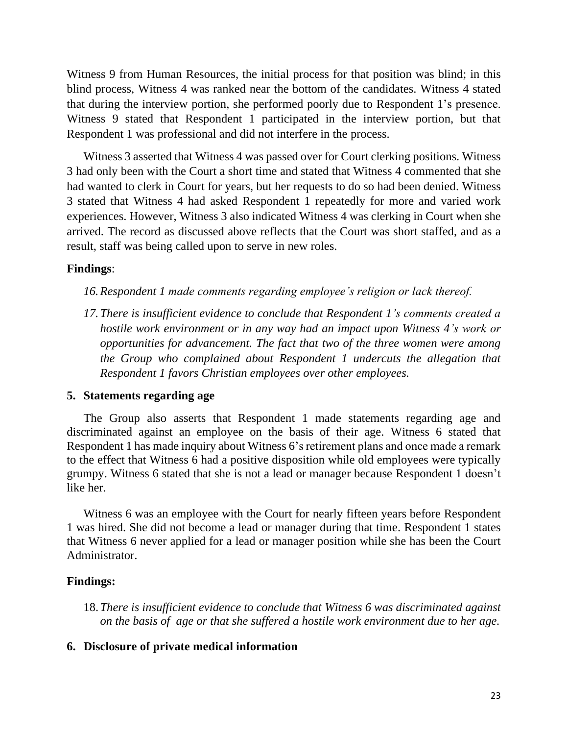Witness 9 from Human Resources, the initial process for that position was blind; in this blind process, Witness 4 was ranked near the bottom of the candidates. Witness 4 stated that during the interview portion, she performed poorly due to Respondent 1's presence. Witness 9 stated that Respondent 1 participated in the interview portion, but that Respondent 1 was professional and did not interfere in the process.

Witness 3 asserted that Witness 4 was passed over for Court clerking positions. Witness 3 had only been with the Court a short time and stated that Witness 4 commented that she had wanted to clerk in Court for years, but her requests to do so had been denied. Witness 3 stated that Witness 4 had asked Respondent 1 repeatedly for more and varied work experiences. However, Witness 3 also indicated Witness 4 was clerking in Court when she arrived. The record as discussed above reflects that the Court was short staffed, and as a result, staff was being called upon to serve in new roles.

### **Findings**:

- *16.Respondent 1 made comments regarding employee's religion or lack thereof.*
- *17.There is insufficient evidence to conclude that Respondent 1's comments created a hostile work environment or in any way had an impact upon Witness 4's work or opportunities for advancement. The fact that two of the three women were among the Group who complained about Respondent 1 undercuts the allegation that Respondent 1 favors Christian employees over other employees.*

### **5. Statements regarding age**

The Group also asserts that Respondent 1 made statements regarding age and discriminated against an employee on the basis of their age. Witness 6 stated that Respondent 1 has made inquiry about Witness 6's retirement plans and once made a remark to the effect that Witness 6 had a positive disposition while old employees were typically grumpy. Witness 6 stated that she is not a lead or manager because Respondent 1 doesn't like her.

Witness 6 was an employee with the Court for nearly fifteen years before Respondent 1 was hired. She did not become a lead or manager during that time. Respondent 1 states that Witness 6 never applied for a lead or manager position while she has been the Court Administrator.

# **Findings:**

18.*There is insufficient evidence to conclude that Witness 6 was discriminated against on the basis of age or that she suffered a hostile work environment due to her age.*

### **6. Disclosure of private medical information**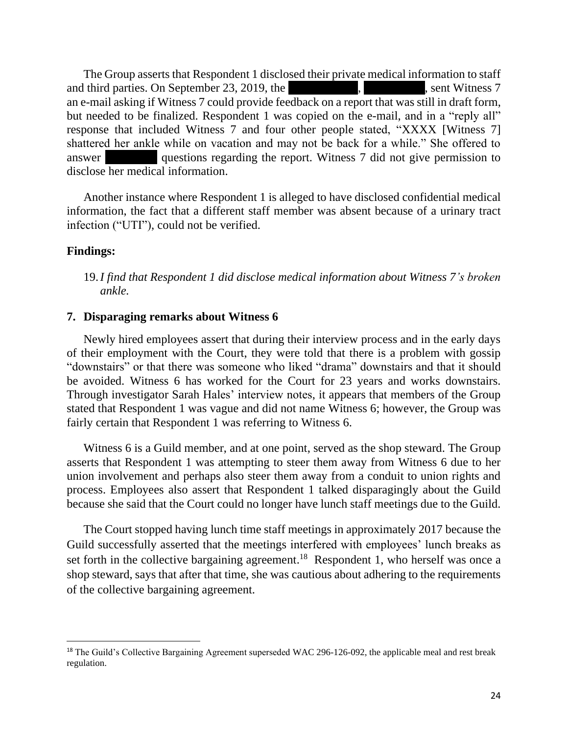The Group asserts that Respondent 1 disclosed their private medical information to staff and third parties. On September 23, 2019, the  $\blacksquare$ , sent Witness 7 an e-mail asking if Witness 7 could provide feedback on a report that was still in draft form, but needed to be finalized. Respondent 1 was copied on the e-mail, and in a "reply all" response that included Witness 7 and four other people stated, "XXXX [Witness 7] shattered her ankle while on vacation and may not be back for a while." She offered to answer questions regarding the report. Witness 7 did not give permission to disclose her medical information.

Another instance where Respondent 1 is alleged to have disclosed confidential medical information, the fact that a different staff member was absent because of a urinary tract infection ("UTI"), could not be verified.

### **Findings:**

19.*I find that Respondent 1 did disclose medical information about Witness 7's broken ankle.* 

### **7. Disparaging remarks about Witness 6**

Newly hired employees assert that during their interview process and in the early days of their employment with the Court, they were told that there is a problem with gossip "downstairs" or that there was someone who liked "drama" downstairs and that it should be avoided. Witness 6 has worked for the Court for 23 years and works downstairs. Through investigator Sarah Hales' interview notes, it appears that members of the Group stated that Respondent 1 was vague and did not name Witness 6; however, the Group was fairly certain that Respondent 1 was referring to Witness 6.

Witness 6 is a Guild member, and at one point, served as the shop steward. The Group asserts that Respondent 1 was attempting to steer them away from Witness 6 due to her union involvement and perhaps also steer them away from a conduit to union rights and process. Employees also assert that Respondent 1 talked disparagingly about the Guild because she said that the Court could no longer have lunch staff meetings due to the Guild.

The Court stopped having lunch time staff meetings in approximately 2017 because the Guild successfully asserted that the meetings interfered with employees' lunch breaks as set forth in the collective bargaining agreement.<sup>18</sup> Respondent 1, who herself was once a shop steward, says that after that time, she was cautious about adhering to the requirements of the collective bargaining agreement.

<sup>&</sup>lt;sup>18</sup> The Guild's Collective Bargaining Agreement superseded WAC 296-126-092, the applicable meal and rest break regulation.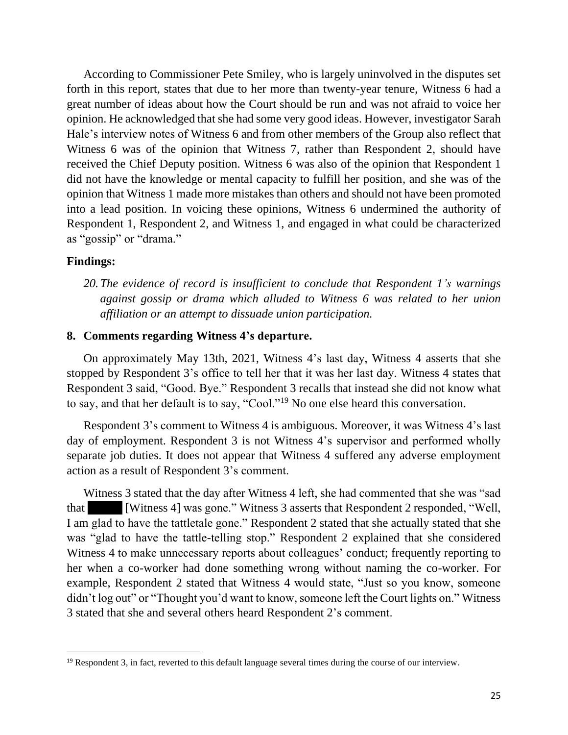According to Commissioner Pete Smiley, who is largely uninvolved in the disputes set forth in this report, states that due to her more than twenty-year tenure, Witness 6 had a great number of ideas about how the Court should be run and was not afraid to voice her opinion. He acknowledged that she had some very good ideas. However, investigator Sarah Hale's interview notes of Witness 6 and from other members of the Group also reflect that Witness 6 was of the opinion that Witness 7, rather than Respondent 2, should have received the Chief Deputy position. Witness 6 was also of the opinion that Respondent 1 did not have the knowledge or mental capacity to fulfill her position, and she was of the opinion that Witness 1 made more mistakes than others and should not have been promoted into a lead position. In voicing these opinions, Witness 6 undermined the authority of Respondent 1, Respondent 2, and Witness 1, and engaged in what could be characterized as "gossip" or "drama."

### **Findings:**

*20.The evidence of record is insufficient to conclude that Respondent 1's warnings against gossip or drama which alluded to Witness 6 was related to her union affiliation or an attempt to dissuade union participation.* 

#### **8. Comments regarding Witness 4's departure.**

On approximately May 13th, 2021, Witness 4's last day, Witness 4 asserts that she stopped by Respondent 3's office to tell her that it was her last day. Witness 4 states that Respondent 3 said, "Good. Bye." Respondent 3 recalls that instead she did not know what to say, and that her default is to say, "Cool."<sup>19</sup> No one else heard this conversation.

Respondent 3's comment to Witness 4 is ambiguous. Moreover, it was Witness 4's last day of employment. Respondent 3 is not Witness 4's supervisor and performed wholly separate job duties. It does not appear that Witness 4 suffered any adverse employment action as a result of Respondent 3's comment.

Witness 3 stated that the day after Witness 4 left, she had commented that she was "sad that [Witness 4] was gone." Witness 3 asserts that Respondent 2 responded, "Well, I am glad to have the tattletale gone." Respondent 2 stated that she actually stated that she was "glad to have the tattle-telling stop." Respondent 2 explained that she considered Witness 4 to make unnecessary reports about colleagues' conduct; frequently reporting to her when a co-worker had done something wrong without naming the co-worker. For example, Respondent 2 stated that Witness 4 would state, "Just so you know, someone didn't log out" or "Thought you'd want to know, someone left the Court lights on." Witness 3 stated that she and several others heard Respondent 2's comment.

<sup>19</sup> Respondent 3, in fact, reverted to this default language several times during the course of our interview.